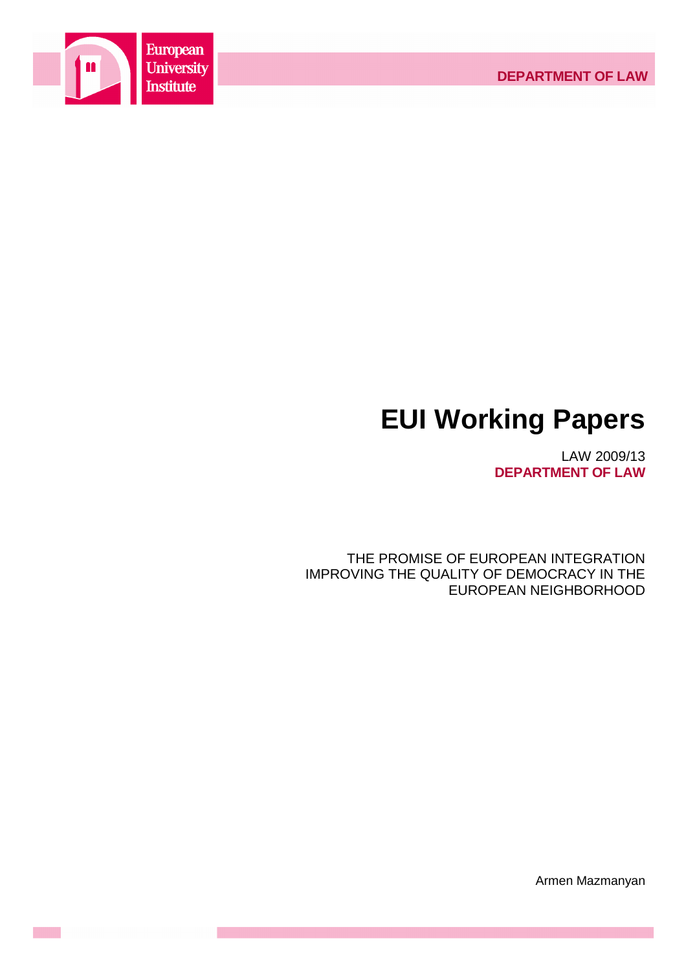



# **EUI Working Papers**

LAW 2009/13 **DEPARTMENT OF LAW**

THE PROMISE OF EUROPEAN INTEGRATION IMPROVING THE QUALITY OF DEMOCRACY IN THE EUROPEAN NEIGHBORHOOD

Armen Mazmanyan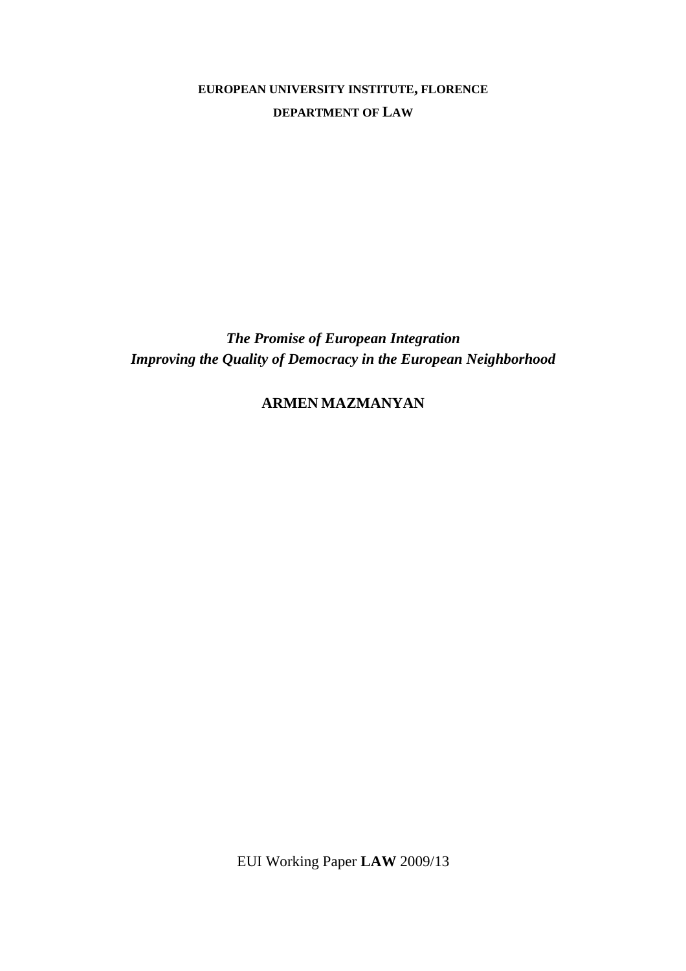# **EUROPEAN UNIVERSITY INSTITUTE, FLORENCE DEPARTMENT OF LAW**

*The Promise of European Integration Improving the Quality of Democracy in the European Neighborhood* 

**ARMEN MAZMANYAN**

EUI Working Paper **LAW** 2009/13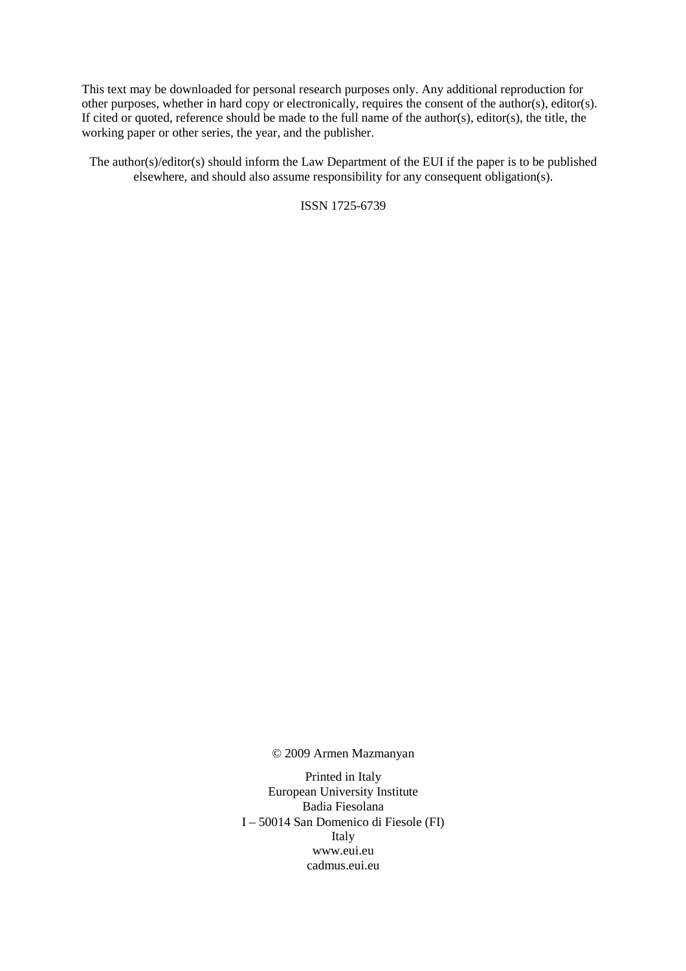This text may be downloaded for personal research purposes only. Any additional reproduction for other purposes, whether in hard copy or electronically, requires the consent of the author(s), editor(s). If cited or quoted, reference should be made to the full name of the author(s), editor(s), the title, the working paper or other series, the year, and the publisher.

The author(s)/editor(s) should inform the Law Department of the EUI if the paper is to be published elsewhere, and should also assume responsibility for any consequent obligation(s).

ISSN 1725-6739

© 2009 Armen Mazmanyan

Printed in Italy European University Institute Badia Fiesolana I – 50014 San Domenico di Fiesole (FI) Italy www.eui.eu cadmus.eui.eu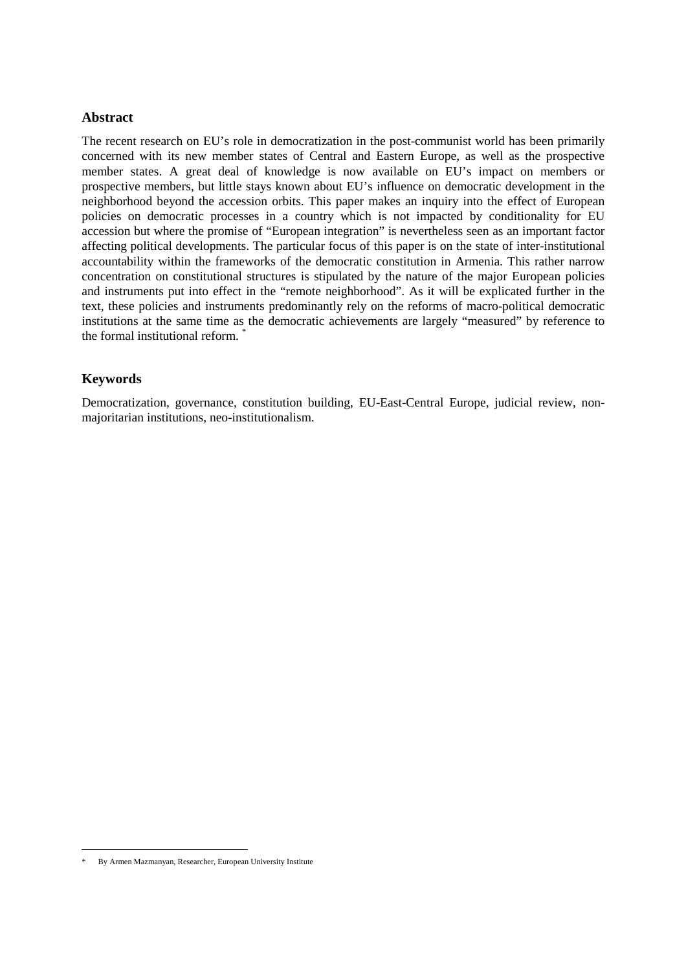### **Abstract**

The recent research on EU's role in democratization in the post-communist world has been primarily concerned with its new member states of Central and Eastern Europe, as well as the prospective member states. A great deal of knowledge is now available on EU's impact on members or prospective members, but little stays known about EU's influence on democratic development in the neighborhood beyond the accession orbits. This paper makes an inquiry into the effect of European policies on democratic processes in a country which is not impacted by conditionality for EU accession but where the promise of "European integration" is nevertheless seen as an important factor affecting political developments. The particular focus of this paper is on the state of inter-institutional accountability within the frameworks of the democratic constitution in Armenia. This rather narrow concentration on constitutional structures is stipulated by the nature of the major European policies and instruments put into effect in the "remote neighborhood". As it will be explicated further in the text, these policies and instruments predominantly rely on the reforms of macro-political democratic institutions at the same time as the democratic achievements are largely "measured" by reference to the formal institutional reform. \*

# **Keywords**

Democratization, governance, constitution building, EU-East-Central Europe, judicial review, nonmajoritarian institutions, neo-institutionalism.

<sup>\*</sup> By Armen Mazmanyan, Researcher, European University Institute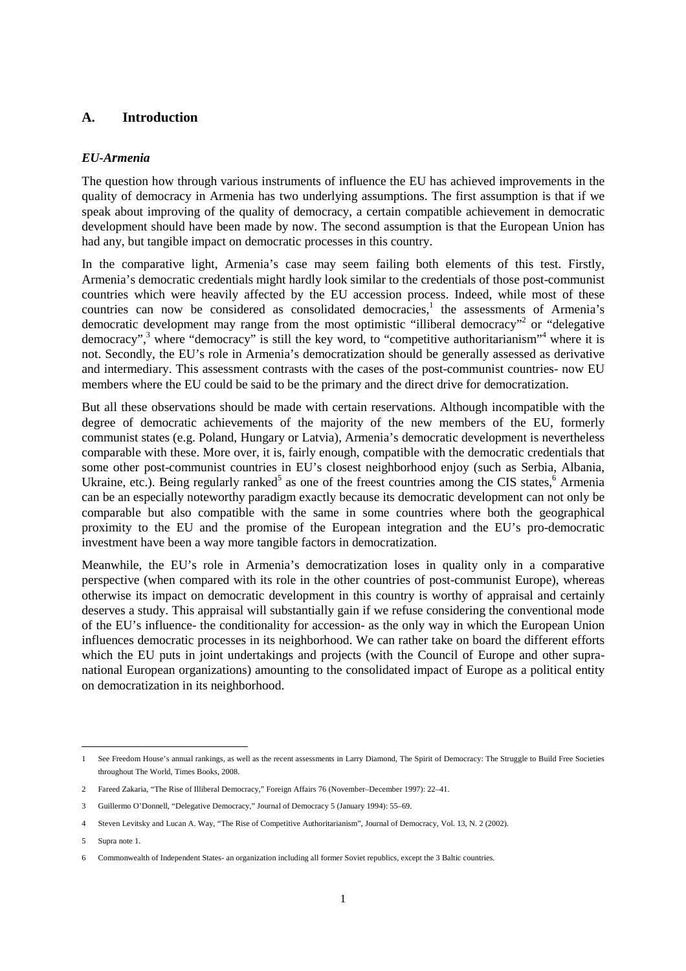# **A. Introduction**

#### *EU-Armenia*

The question how through various instruments of influence the EU has achieved improvements in the quality of democracy in Armenia has two underlying assumptions. The first assumption is that if we speak about improving of the quality of democracy, a certain compatible achievement in democratic development should have been made by now. The second assumption is that the European Union has had any, but tangible impact on democratic processes in this country.

In the comparative light, Armenia's case may seem failing both elements of this test. Firstly, Armenia's democratic credentials might hardly look similar to the credentials of those post-communist countries which were heavily affected by the EU accession process. Indeed, while most of these countries can now be considered as consolidated democracies,<sup>1</sup> the assessments of Armenia's democratic development may range from the most optimistic "illiberal democracy"<sup>2</sup> or "delegative democracy",<sup>3</sup> where "democracy" is still the key word, to "competitive authoritarianism"<sup>4</sup> where it is not. Secondly, the EU's role in Armenia's democratization should be generally assessed as derivative and intermediary. This assessment contrasts with the cases of the post-communist countries- now EU members where the EU could be said to be the primary and the direct drive for democratization.

But all these observations should be made with certain reservations. Although incompatible with the degree of democratic achievements of the majority of the new members of the EU, formerly communist states (e.g. Poland, Hungary or Latvia), Armenia's democratic development is nevertheless comparable with these. More over, it is, fairly enough, compatible with the democratic credentials that some other post-communist countries in EU's closest neighborhood enjoy (such as Serbia, Albania, Ukraine, etc.). Being regularly ranked<sup>5</sup> as one of the freest countries among the CIS states,<sup>6</sup> Armenia can be an especially noteworthy paradigm exactly because its democratic development can not only be comparable but also compatible with the same in some countries where both the geographical proximity to the EU and the promise of the European integration and the EU's pro-democratic investment have been a way more tangible factors in democratization.

Meanwhile, the EU's role in Armenia's democratization loses in quality only in a comparative perspective (when compared with its role in the other countries of post-communist Europe), whereas otherwise its impact on democratic development in this country is worthy of appraisal and certainly deserves a study. This appraisal will substantially gain if we refuse considering the conventional mode of the EU's influence- the conditionality for accession- as the only way in which the European Union influences democratic processes in its neighborhood. We can rather take on board the different efforts which the EU puts in joint undertakings and projects (with the Council of Europe and other supranational European organizations) amounting to the consolidated impact of Europe as a political entity on democratization in its neighborhood.

<sup>1</sup> See Freedom House's annual rankings, as well as the recent assessments in Larry Diamond, The Spirit of Democracy: The Struggle to Build Free Societies throughout The World, Times Books, 2008.

<sup>2</sup> Fareed Zakaria, "The Rise of Illiberal Democracy," Foreign Affairs 76 (November–December 1997): 22–41.

<sup>3</sup> Guillermo O'Donnell, "Delegative Democracy," Journal of Democracy 5 (January 1994): 55–69.

<sup>4</sup> Steven Levitsky and Lucan A. Way, "The Rise of Competitive Authoritarianism", Journal of Democracy, Vol. 13, N. 2 (2002).

<sup>5</sup> Supra note 1.

<sup>6</sup> Commonwealth of Independent States- an organization including all former Soviet republics, except the 3 Baltic countries.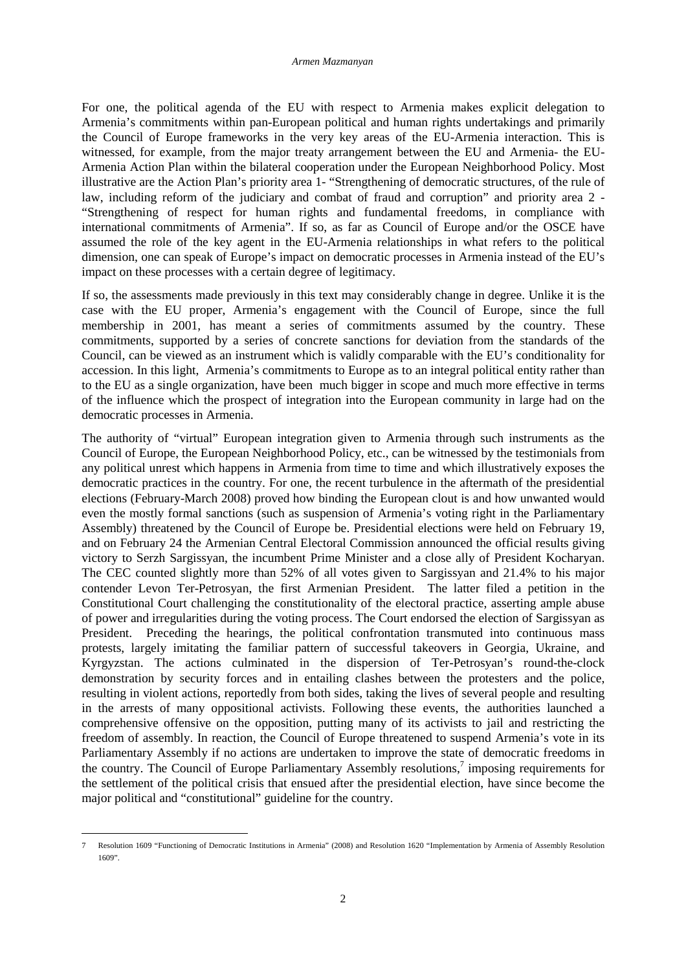For one, the political agenda of the EU with respect to Armenia makes explicit delegation to Armenia's commitments within pan-European political and human rights undertakings and primarily the Council of Europe frameworks in the very key areas of the EU-Armenia interaction. This is witnessed, for example, from the major treaty arrangement between the EU and Armenia- the EU-Armenia Action Plan within the bilateral cooperation under the European Neighborhood Policy. Most illustrative are the Action Plan's priority area 1- "Strengthening of democratic structures, of the rule of law, including reform of the judiciary and combat of fraud and corruption" and priority area 2 - "Strengthening of respect for human rights and fundamental freedoms, in compliance with international commitments of Armenia". If so, as far as Council of Europe and/or the OSCE have assumed the role of the key agent in the EU-Armenia relationships in what refers to the political dimension, one can speak of Europe's impact on democratic processes in Armenia instead of the EU's impact on these processes with a certain degree of legitimacy.

If so, the assessments made previously in this text may considerably change in degree. Unlike it is the case with the EU proper, Armenia's engagement with the Council of Europe, since the full membership in 2001, has meant a series of commitments assumed by the country. These commitments, supported by a series of concrete sanctions for deviation from the standards of the Council, can be viewed as an instrument which is validly comparable with the EU's conditionality for accession. In this light, Armenia's commitments to Europe as to an integral political entity rather than to the EU as a single organization, have been much bigger in scope and much more effective in terms of the influence which the prospect of integration into the European community in large had on the democratic processes in Armenia.

The authority of "virtual" European integration given to Armenia through such instruments as the Council of Europe, the European Neighborhood Policy, etc., can be witnessed by the testimonials from any political unrest which happens in Armenia from time to time and which illustratively exposes the democratic practices in the country. For one, the recent turbulence in the aftermath of the presidential elections (February-March 2008) proved how binding the European clout is and how unwanted would even the mostly formal sanctions (such as suspension of Armenia's voting right in the Parliamentary Assembly) threatened by the Council of Europe be. Presidential elections were held on February 19, and on February 24 the Armenian Central Electoral Commission announced the official results giving victory to Serzh Sargissyan, the incumbent Prime Minister and a close ally of President Kocharyan. The CEC counted slightly more than 52% of all votes given to Sargissyan and 21.4% to his major contender Levon Ter-Petrosyan, the first Armenian President. The latter filed a petition in the Constitutional Court challenging the constitutionality of the electoral practice, asserting ample abuse of power and irregularities during the voting process. The Court endorsed the election of Sargissyan as President. Preceding the hearings, the political confrontation transmuted into continuous mass protests, largely imitating the familiar pattern of successful takeovers in Georgia, Ukraine, and Kyrgyzstan. The actions culminated in the dispersion of Ter-Petrosyan's round-the-clock demonstration by security forces and in entailing clashes between the protesters and the police, resulting in violent actions, reportedly from both sides, taking the lives of several people and resulting in the arrests of many oppositional activists. Following these events, the authorities launched a comprehensive offensive on the opposition, putting many of its activists to jail and restricting the freedom of assembly. In reaction, the Council of Europe threatened to suspend Armenia's vote in its Parliamentary Assembly if no actions are undertaken to improve the state of democratic freedoms in the country. The Council of Europe Parliamentary Assembly resolutions,<sup>7</sup> imposing requirements for the settlement of the political crisis that ensued after the presidential election, have since become the major political and "constitutional" guideline for the country.

<sup>7</sup> Resolution 1609 "Functioning of Democratic Institutions in Armenia" (2008) and Resolution 1620 "Implementation by Armenia of Assembly Resolution 1609".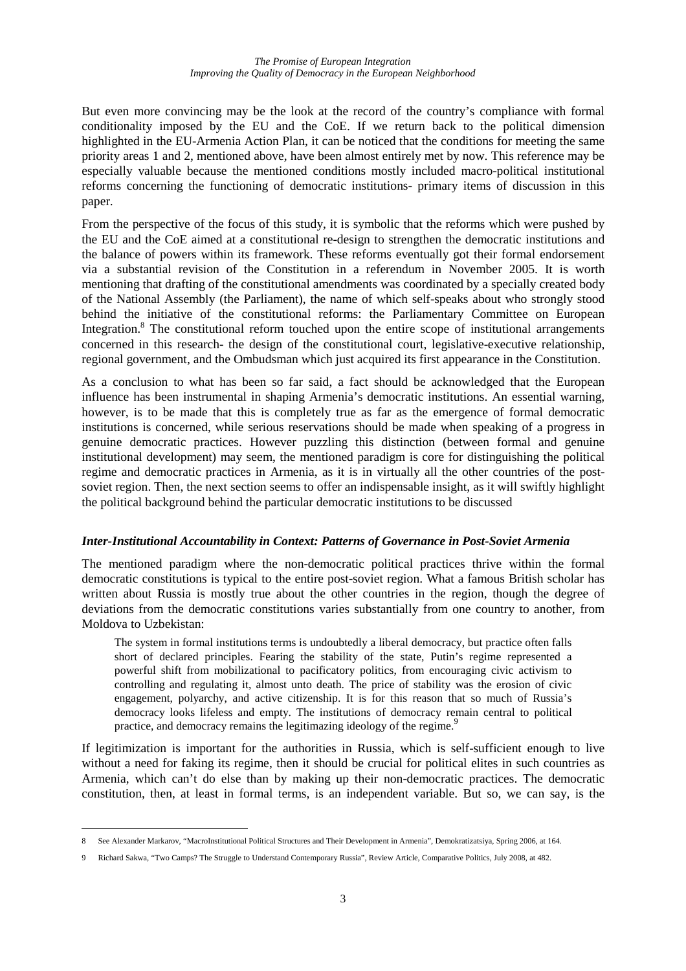But even more convincing may be the look at the record of the country's compliance with formal conditionality imposed by the EU and the CoE. If we return back to the political dimension highlighted in the EU-Armenia Action Plan, it can be noticed that the conditions for meeting the same priority areas 1 and 2, mentioned above, have been almost entirely met by now. This reference may be especially valuable because the mentioned conditions mostly included macro-political institutional reforms concerning the functioning of democratic institutions- primary items of discussion in this paper.

From the perspective of the focus of this study, it is symbolic that the reforms which were pushed by the EU and the CoE aimed at a constitutional re-design to strengthen the democratic institutions and the balance of powers within its framework. These reforms eventually got their formal endorsement via a substantial revision of the Constitution in a referendum in November 2005. It is worth mentioning that drafting of the constitutional amendments was coordinated by a specially created body of the National Assembly (the Parliament), the name of which self-speaks about who strongly stood behind the initiative of the constitutional reforms: the Parliamentary Committee on European Integration.<sup>8</sup> The constitutional reform touched upon the entire scope of institutional arrangements concerned in this research- the design of the constitutional court, legislative-executive relationship, regional government, and the Ombudsman which just acquired its first appearance in the Constitution.

As a conclusion to what has been so far said, a fact should be acknowledged that the European influence has been instrumental in shaping Armenia's democratic institutions. An essential warning, however, is to be made that this is completely true as far as the emergence of formal democratic institutions is concerned, while serious reservations should be made when speaking of a progress in genuine democratic practices. However puzzling this distinction (between formal and genuine institutional development) may seem, the mentioned paradigm is core for distinguishing the political regime and democratic practices in Armenia, as it is in virtually all the other countries of the postsoviet region. Then, the next section seems to offer an indispensable insight, as it will swiftly highlight the political background behind the particular democratic institutions to be discussed

### *Inter-Institutional Accountability in Context: Patterns of Governance in Post-Soviet Armenia*

The mentioned paradigm where the non-democratic political practices thrive within the formal democratic constitutions is typical to the entire post-soviet region. What a famous British scholar has written about Russia is mostly true about the other countries in the region, though the degree of deviations from the democratic constitutions varies substantially from one country to another, from Moldova to Uzbekistan:

The system in formal institutions terms is undoubtedly a liberal democracy, but practice often falls short of declared principles. Fearing the stability of the state, Putin's regime represented a powerful shift from mobilizational to pacificatory politics, from encouraging civic activism to controlling and regulating it, almost unto death. The price of stability was the erosion of civic engagement, polyarchy, and active citizenship. It is for this reason that so much of Russia's democracy looks lifeless and empty. The institutions of democracy remain central to political practice, and democracy remains the legitimazing ideology of the regime.<sup>9</sup>

If legitimization is important for the authorities in Russia, which is self-sufficient enough to live without a need for faking its regime, then it should be crucial for political elites in such countries as Armenia, which can't do else than by making up their non-democratic practices. The democratic constitution, then, at least in formal terms, is an independent variable. But so, we can say, is the

<sup>8</sup> See Alexander Markarov, "MacroInstitutional Political Structures and Their Development in Armenia", Demokratizatsiya, Spring 2006, at 164.

<sup>9</sup> Richard Sakwa, "Two Camps? The Struggle to Understand Contemporary Russia", Review Article, Comparative Politics, July 2008, at 482.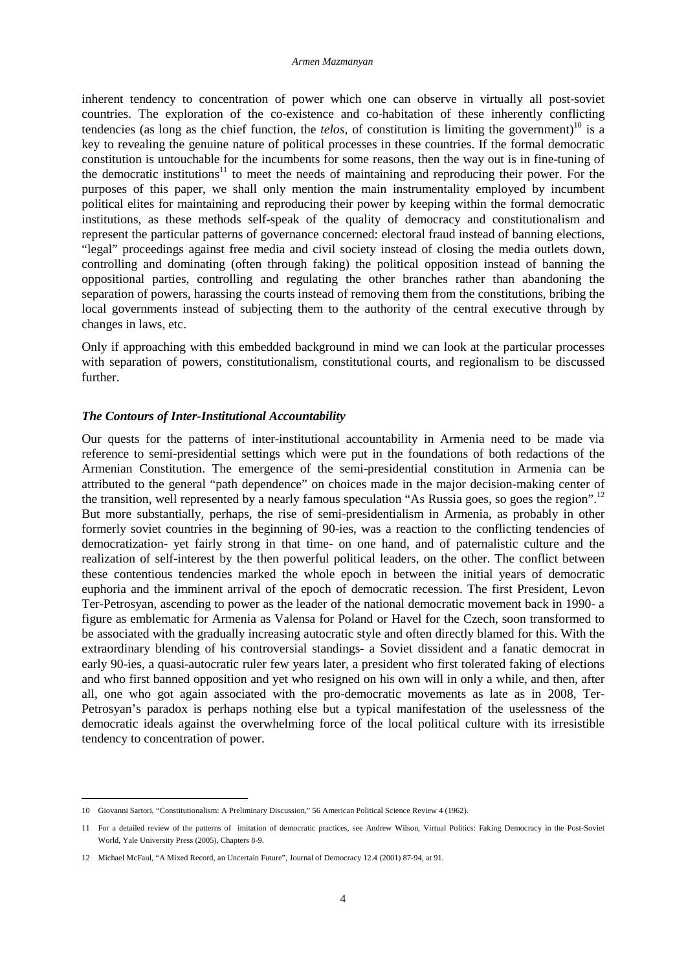inherent tendency to concentration of power which one can observe in virtually all post-soviet countries. The exploration of the co-existence and co-habitation of these inherently conflicting tendencies (as long as the chief function, the *telos*, of constitution is limiting the government)<sup>10</sup> is a key to revealing the genuine nature of political processes in these countries. If the formal democratic constitution is untouchable for the incumbents for some reasons, then the way out is in fine-tuning of the democratic institutions<sup>11</sup> to meet the needs of maintaining and reproducing their power. For the purposes of this paper, we shall only mention the main instrumentality employed by incumbent political elites for maintaining and reproducing their power by keeping within the formal democratic institutions, as these methods self-speak of the quality of democracy and constitutionalism and represent the particular patterns of governance concerned: electoral fraud instead of banning elections, "legal" proceedings against free media and civil society instead of closing the media outlets down, controlling and dominating (often through faking) the political opposition instead of banning the oppositional parties, controlling and regulating the other branches rather than abandoning the separation of powers, harassing the courts instead of removing them from the constitutions, bribing the local governments instead of subjecting them to the authority of the central executive through by changes in laws, etc.

Only if approaching with this embedded background in mind we can look at the particular processes with separation of powers, constitutionalism, constitutional courts, and regionalism to be discussed further.

#### *The Contours of Inter-Institutional Accountability*

Our quests for the patterns of inter-institutional accountability in Armenia need to be made via reference to semi-presidential settings which were put in the foundations of both redactions of the Armenian Constitution. The emergence of the semi-presidential constitution in Armenia can be attributed to the general "path dependence" on choices made in the major decision-making center of the transition, well represented by a nearly famous speculation "As Russia goes, so goes the region".<sup>12</sup> But more substantially, perhaps, the rise of semi-presidentialism in Armenia, as probably in other formerly soviet countries in the beginning of 90-ies, was a reaction to the conflicting tendencies of democratization- yet fairly strong in that time- on one hand, and of paternalistic culture and the realization of self-interest by the then powerful political leaders, on the other. The conflict between these contentious tendencies marked the whole epoch in between the initial years of democratic euphoria and the imminent arrival of the epoch of democratic recession. The first President, Levon Ter-Petrosyan, ascending to power as the leader of the national democratic movement back in 1990- a figure as emblematic for Armenia as Valensa for Poland or Havel for the Czech, soon transformed to be associated with the gradually increasing autocratic style and often directly blamed for this. With the extraordinary blending of his controversial standings- a Soviet dissident and a fanatic democrat in early 90-ies, a quasi-autocratic ruler few years later, a president who first tolerated faking of elections and who first banned opposition and yet who resigned on his own will in only a while, and then, after all, one who got again associated with the pro-democratic movements as late as in 2008, Ter-Petrosyan's paradox is perhaps nothing else but a typical manifestation of the uselessness of the democratic ideals against the overwhelming force of the local political culture with its irresistible tendency to concentration of power.

<sup>10</sup> Giovanni Sartori, "Constitutionalism: A Preliminary Discussion," 56 American Political Science Review 4 (1962).

<sup>11</sup> For a detailed review of the patterns of imitation of democratic practices, see Andrew Wilson, Virtual Politics: Faking Democracy in the Post-Soviet World, Yale University Press (2005), Chapters 8-9.

<sup>12</sup> Michael McFaul, "A Mixed Record, an Uncertain Future", Journal of Democracy 12.4 (2001) 87-94, at 91.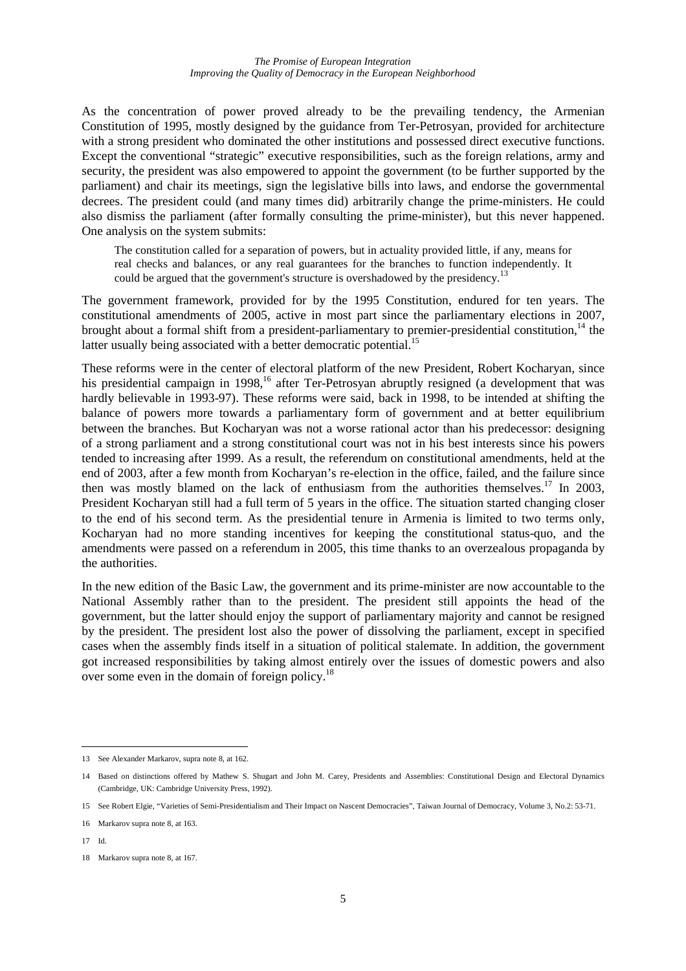As the concentration of power proved already to be the prevailing tendency, the Armenian Constitution of 1995, mostly designed by the guidance from Ter-Petrosyan, provided for architecture with a strong president who dominated the other institutions and possessed direct executive functions. Except the conventional "strategic" executive responsibilities, such as the foreign relations, army and security, the president was also empowered to appoint the government (to be further supported by the parliament) and chair its meetings, sign the legislative bills into laws, and endorse the governmental decrees. The president could (and many times did) arbitrarily change the prime-ministers. He could also dismiss the parliament (after formally consulting the prime-minister), but this never happened. One analysis on the system submits:

The constitution called for a separation of powers, but in actuality provided little, if any, means for real checks and balances, or any real guarantees for the branches to function independently. It could be argued that the government's structure is overshadowed by the presidency.<sup>13</sup>

The government framework, provided for by the 1995 Constitution, endured for ten years. The constitutional amendments of 2005, active in most part since the parliamentary elections in 2007, brought about a formal shift from a president-parliamentary to premier-presidential constitution.<sup>14</sup> the latter usually being associated with a better democratic potential.<sup>15</sup>

These reforms were in the center of electoral platform of the new President, Robert Kocharyan, since his presidential campaign in 1998,<sup>16</sup> after Ter-Petrosyan abruptly resigned (a development that was hardly believable in 1993-97). These reforms were said, back in 1998, to be intended at shifting the balance of powers more towards a parliamentary form of government and at better equilibrium between the branches. But Kocharyan was not a worse rational actor than his predecessor: designing of a strong parliament and a strong constitutional court was not in his best interests since his powers tended to increasing after 1999. As a result, the referendum on constitutional amendments, held at the end of 2003, after a few month from Kocharyan's re-election in the office, failed, and the failure since then was mostly blamed on the lack of enthusiasm from the authorities themselves.<sup>17</sup> In 2003, President Kocharyan still had a full term of 5 years in the office. The situation started changing closer to the end of his second term. As the presidential tenure in Armenia is limited to two terms only, Kocharyan had no more standing incentives for keeping the constitutional status-quo, and the amendments were passed on a referendum in 2005, this time thanks to an overzealous propaganda by the authorities.

In the new edition of the Basic Law, the government and its prime-minister are now accountable to the National Assembly rather than to the president. The president still appoints the head of the government, but the latter should enjoy the support of parliamentary majority and cannot be resigned by the president. The president lost also the power of dissolving the parliament, except in specified cases when the assembly finds itself in a situation of political stalemate. In addition, the government got increased responsibilities by taking almost entirely over the issues of domestic powers and also over some even in the domain of foreign policy.<sup>18</sup>

<sup>13</sup> See Alexander Markarov, supra note 8, at 162.

<sup>14</sup> Based on distinctions offered by Mathew S. Shugart and John M. Carey, Presidents and Assemblies: Constitutional Design and Electoral Dynamics (Cambridge, UK: Cambridge University Press, 1992).

<sup>15</sup> See Robert Elgie, "Varieties of Semi-Presidentialism and Their Impact on Nascent Democracies", Taiwan Journal of Democracy, Volume 3, No.2: 53-71.

<sup>16</sup> Markarov supra note 8, at 163.

<sup>17</sup> Id.

<sup>18</sup> Markarov supra note 8, at 167.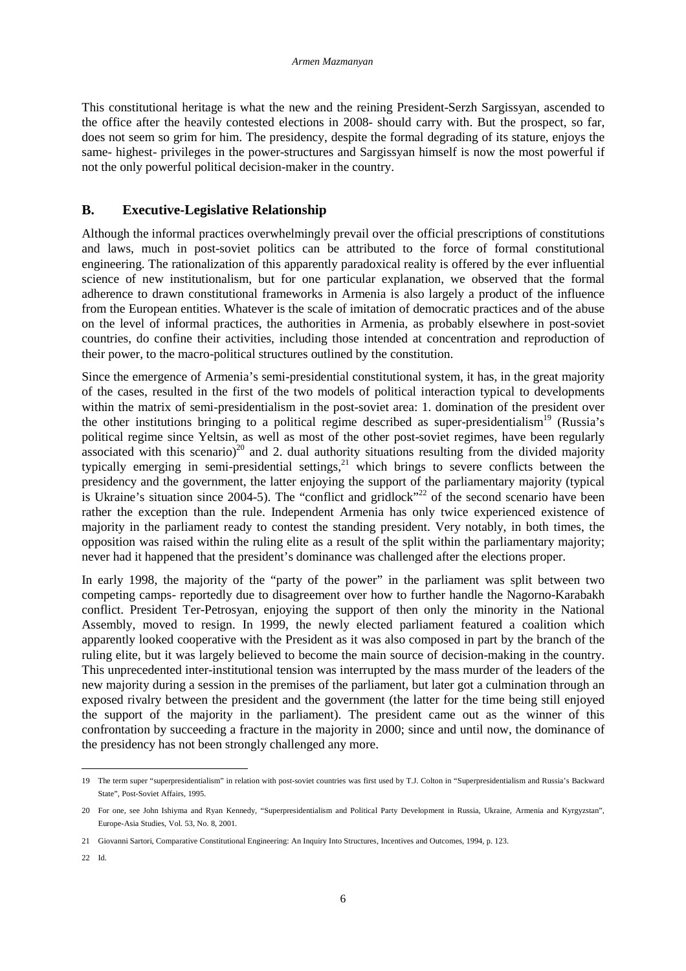This constitutional heritage is what the new and the reining President-Serzh Sargissyan, ascended to the office after the heavily contested elections in 2008- should carry with. But the prospect, so far, does not seem so grim for him. The presidency, despite the formal degrading of its stature, enjoys the same- highest- privileges in the power-structures and Sargissyan himself is now the most powerful if not the only powerful political decision-maker in the country.

# **B. Executive-Legislative Relationship**

Although the informal practices overwhelmingly prevail over the official prescriptions of constitutions and laws, much in post-soviet politics can be attributed to the force of formal constitutional engineering. The rationalization of this apparently paradoxical reality is offered by the ever influential science of new institutionalism, but for one particular explanation, we observed that the formal adherence to drawn constitutional frameworks in Armenia is also largely a product of the influence from the European entities. Whatever is the scale of imitation of democratic practices and of the abuse on the level of informal practices, the authorities in Armenia, as probably elsewhere in post-soviet countries, do confine their activities, including those intended at concentration and reproduction of their power, to the macro-political structures outlined by the constitution.

Since the emergence of Armenia's semi-presidential constitutional system, it has, in the great majority of the cases, resulted in the first of the two models of political interaction typical to developments within the matrix of semi-presidentialism in the post-soviet area: 1. domination of the president over the other institutions bringing to a political regime described as super-presidentialism<sup>19</sup> (Russia's political regime since Yeltsin, as well as most of the other post-soviet regimes, have been regularly associated with this scenario)<sup>20</sup> and 2. dual authority situations resulting from the divided majority typically emerging in semi-presidential settings,  $2\frac{1}{2}$  which brings to severe conflicts between the presidency and the government, the latter enjoying the support of the parliamentary majority (typical is Ukraine's situation since 2004-5). The "conflict and gridlock"<sup>22</sup> of the second scenario have been rather the exception than the rule. Independent Armenia has only twice experienced existence of majority in the parliament ready to contest the standing president. Very notably, in both times, the opposition was raised within the ruling elite as a result of the split within the parliamentary majority; never had it happened that the president's dominance was challenged after the elections proper.

In early 1998, the majority of the "party of the power" in the parliament was split between two competing camps- reportedly due to disagreement over how to further handle the Nagorno-Karabakh conflict. President Ter-Petrosyan, enjoying the support of then only the minority in the National Assembly, moved to resign. In 1999, the newly elected parliament featured a coalition which apparently looked cooperative with the President as it was also composed in part by the branch of the ruling elite, but it was largely believed to become the main source of decision-making in the country. This unprecedented inter-institutional tension was interrupted by the mass murder of the leaders of the new majority during a session in the premises of the parliament, but later got a culmination through an exposed rivalry between the president and the government (the latter for the time being still enjoyed the support of the majority in the parliament). The president came out as the winner of this confrontation by succeeding a fracture in the majority in 2000; since and until now, the dominance of the presidency has not been strongly challenged any more.

<sup>19</sup> The term super "superpresidentialism" in relation with post-soviet countries was first used by T.J. Colton in "Superpresidentialism and Russia's Backward State", Post-Soviet Affairs, 1995.

<sup>20</sup> For one, see John Ishiyma and Ryan Kennedy, "Superpresidentialism and Political Party Development in Russia, Ukraine, Armenia and Kyrgyzstan", Europe-Asia Studies, Vol. 53, No. 8, 2001.

<sup>21</sup> Giovanni Sartori, Comparative Constitutional Engineering: An Inquiry Into Structures, Incentives and Outcomes, 1994, p. 123.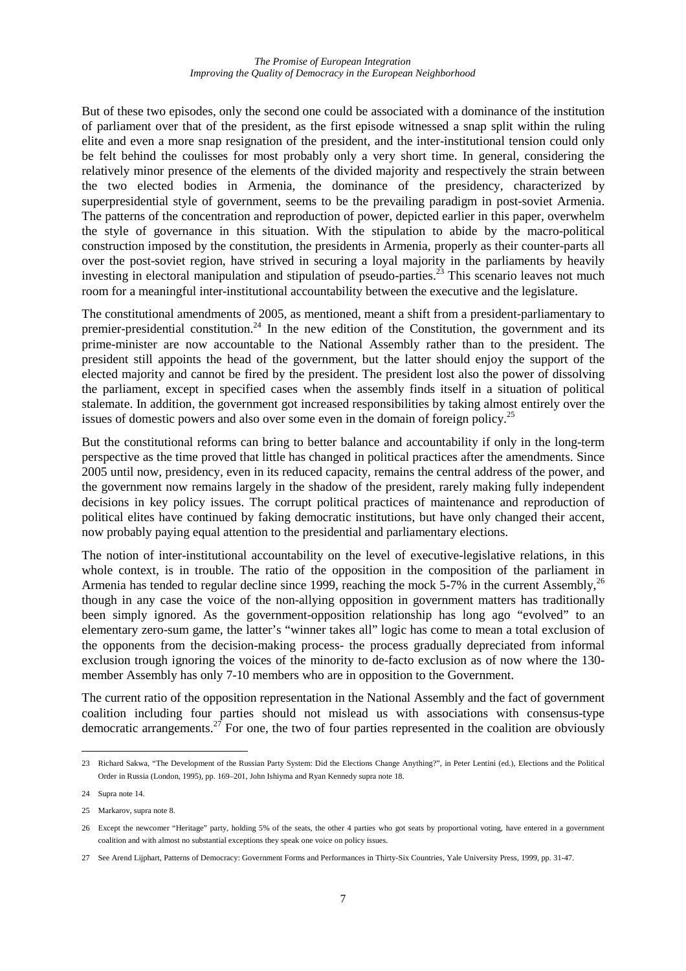But of these two episodes, only the second one could be associated with a dominance of the institution of parliament over that of the president, as the first episode witnessed a snap split within the ruling elite and even a more snap resignation of the president, and the inter-institutional tension could only be felt behind the coulisses for most probably only a very short time. In general, considering the relatively minor presence of the elements of the divided majority and respectively the strain between the two elected bodies in Armenia, the dominance of the presidency, characterized by superpresidential style of government, seems to be the prevailing paradigm in post-soviet Armenia. The patterns of the concentration and reproduction of power, depicted earlier in this paper, overwhelm the style of governance in this situation. With the stipulation to abide by the macro-political construction imposed by the constitution, the presidents in Armenia, properly as their counter-parts all over the post-soviet region, have strived in securing a loyal majority in the parliaments by heavily investing in electoral manipulation and stipulation of pseudo-parties.<sup>23</sup> This scenario leaves not much room for a meaningful inter-institutional accountability between the executive and the legislature.

The constitutional amendments of 2005, as mentioned, meant a shift from a president-parliamentary to premier-presidential constitution.<sup>24</sup> In the new edition of the Constitution, the government and its prime-minister are now accountable to the National Assembly rather than to the president. The president still appoints the head of the government, but the latter should enjoy the support of the elected majority and cannot be fired by the president. The president lost also the power of dissolving the parliament, except in specified cases when the assembly finds itself in a situation of political stalemate. In addition, the government got increased responsibilities by taking almost entirely over the issues of domestic powers and also over some even in the domain of foreign policy.<sup>25</sup>

But the constitutional reforms can bring to better balance and accountability if only in the long-term perspective as the time proved that little has changed in political practices after the amendments. Since 2005 until now, presidency, even in its reduced capacity, remains the central address of the power, and the government now remains largely in the shadow of the president, rarely making fully independent decisions in key policy issues. The corrupt political practices of maintenance and reproduction of political elites have continued by faking democratic institutions, but have only changed their accent, now probably paying equal attention to the presidential and parliamentary elections.

The notion of inter-institutional accountability on the level of executive-legislative relations, in this whole context, is in trouble. The ratio of the opposition in the composition of the parliament in Armenia has tended to regular decline since 1999, reaching the mock 5-7% in the current Assembly,  $^{26}$ though in any case the voice of the non-allying opposition in government matters has traditionally been simply ignored. As the government-opposition relationship has long ago "evolved" to an elementary zero-sum game, the latter's "winner takes all" logic has come to mean a total exclusion of the opponents from the decision-making process- the process gradually depreciated from informal exclusion trough ignoring the voices of the minority to de-facto exclusion as of now where the 130 member Assembly has only 7-10 members who are in opposition to the Government.

The current ratio of the opposition representation in the National Assembly and the fact of government coalition including four parties should not mislead us with associations with consensus-type democratic arrangements.<sup>27</sup> For one, the two of four parties represented in the coalition are obviously

<sup>23</sup> Richard Sakwa, "The Development of the Russian Party System: Did the Elections Change Anything?", in Peter Lentini (ed.), Elections and the Political Order in Russia (London, 1995), pp. 169–201, John Ishiyma and Ryan Kennedy supra note 18.

<sup>24</sup> Supra note 14.

<sup>25</sup> Markarov, supra note 8.

<sup>26</sup> Except the newcomer "Heritage" party, holding 5% of the seats, the other 4 parties who got seats by proportional voting, have entered in a government coalition and with almost no substantial exceptions they speak one voice on policy issues.

<sup>27</sup> See Arend Lijphart, Patterns of Democracy: Government Forms and Performances in Thirty-Six Countries, Yale University Press, 1999, pp. 31-47.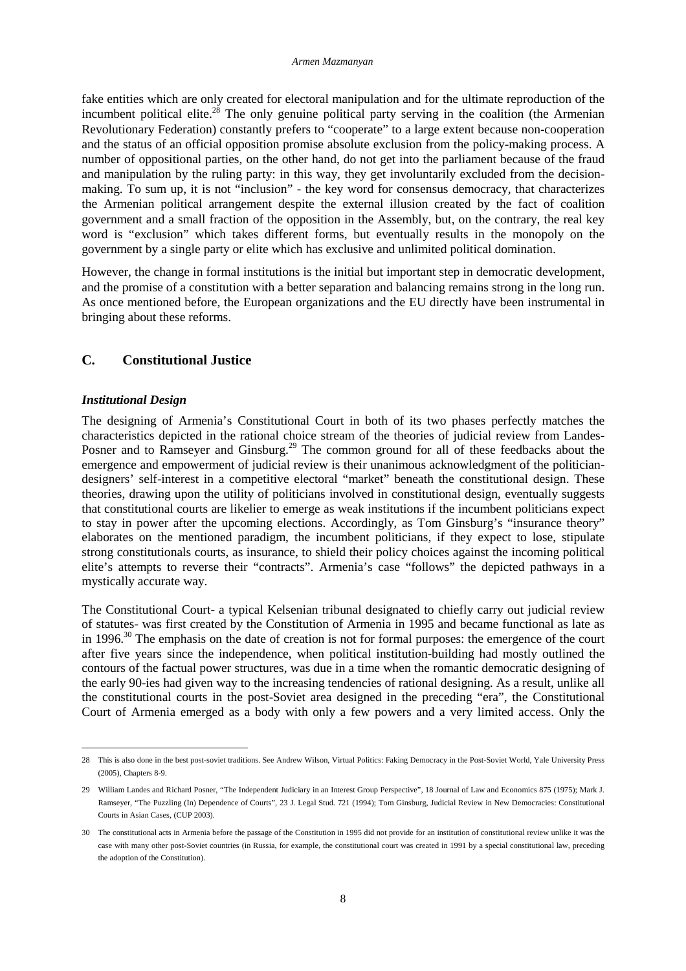fake entities which are only created for electoral manipulation and for the ultimate reproduction of the incumbent political elite.<sup>28</sup> The only genuine political party serving in the coalition (the Armenian Revolutionary Federation) constantly prefers to "cooperate" to a large extent because non-cooperation and the status of an official opposition promise absolute exclusion from the policy-making process. A number of oppositional parties, on the other hand, do not get into the parliament because of the fraud and manipulation by the ruling party: in this way, they get involuntarily excluded from the decisionmaking. To sum up, it is not "inclusion" - the key word for consensus democracy, that characterizes the Armenian political arrangement despite the external illusion created by the fact of coalition government and a small fraction of the opposition in the Assembly, but, on the contrary, the real key word is "exclusion" which takes different forms, but eventually results in the monopoly on the government by a single party or elite which has exclusive and unlimited political domination.

However, the change in formal institutions is the initial but important step in democratic development, and the promise of a constitution with a better separation and balancing remains strong in the long run. As once mentioned before, the European organizations and the EU directly have been instrumental in bringing about these reforms.

# **C. Constitutional Justice**

#### *Institutional Design*

 $\overline{a}$ 

The designing of Armenia's Constitutional Court in both of its two phases perfectly matches the characteristics depicted in the rational choice stream of the theories of judicial review from Landes-Posner and to Ramseyer and Ginsburg.<sup>29</sup> The common ground for all of these feedbacks about the emergence and empowerment of judicial review is their unanimous acknowledgment of the politiciandesigners' self-interest in a competitive electoral "market" beneath the constitutional design. These theories, drawing upon the utility of politicians involved in constitutional design, eventually suggests that constitutional courts are likelier to emerge as weak institutions if the incumbent politicians expect to stay in power after the upcoming elections. Accordingly, as Tom Ginsburg's "insurance theory" elaborates on the mentioned paradigm, the incumbent politicians, if they expect to lose, stipulate strong constitutionals courts, as insurance, to shield their policy choices against the incoming political elite's attempts to reverse their "contracts". Armenia's case "follows" the depicted pathways in a mystically accurate way.

The Constitutional Court- a typical Kelsenian tribunal designated to chiefly carry out judicial review of statutes- was first created by the Constitution of Armenia in 1995 and became functional as late as in 1996.<sup>30</sup> The emphasis on the date of creation is not for formal purposes: the emergence of the court after five years since the independence, when political institution-building had mostly outlined the contours of the factual power structures, was due in a time when the romantic democratic designing of the early 90-ies had given way to the increasing tendencies of rational designing. As a result, unlike all the constitutional courts in the post-Soviet area designed in the preceding "era", the Constitutional Court of Armenia emerged as a body with only a few powers and a very limited access. Only the

<sup>28</sup> This is also done in the best post-soviet traditions. See Andrew Wilson, Virtual Politics: Faking Democracy in the Post-Soviet World, Yale University Press (2005), Chapters 8-9.

<sup>29</sup> William Landes and Richard Posner, "The Independent Judiciary in an Interest Group Perspective", 18 Journal of Law and Economics 875 (1975); Mark J. Ramseyer, "The Puzzling (In) Dependence of Courts", 23 J. Legal Stud. 721 (1994); Tom Ginsburg, Judicial Review in New Democracies: Constitutional Courts in Asian Cases, (CUP 2003).

<sup>30</sup> The constitutional acts in Armenia before the passage of the Constitution in 1995 did not provide for an institution of constitutional review unlike it was the case with many other post-Soviet countries (in Russia, for example, the constitutional court was created in 1991 by a special constitutional law, preceding the adoption of the Constitution).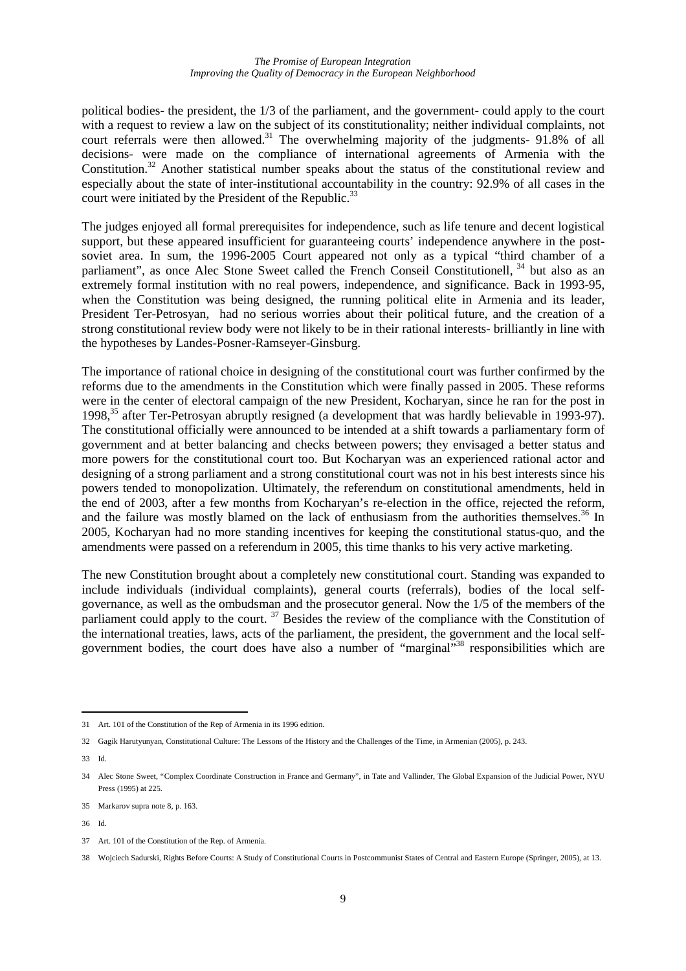political bodies- the president, the 1/3 of the parliament, and the government- could apply to the court with a request to review a law on the subject of its constitutionality; neither individual complaints, not court referrals were then allowed.<sup>31</sup> The overwhelming majority of the judgments-  $91.8\%$  of all decisions- were made on the compliance of international agreements of Armenia with the Constitution.<sup>32</sup> Another statistical number speaks about the status of the constitutional review and especially about the state of inter-institutional accountability in the country: 92.9% of all cases in the court were initiated by the President of the Republic. $33$ 

The judges enjoyed all formal prerequisites for independence, such as life tenure and decent logistical support, but these appeared insufficient for guaranteeing courts' independence anywhere in the postsoviet area. In sum, the 1996-2005 Court appeared not only as a typical "third chamber of a parliament", as once Alec Stone Sweet called the French Conseil Constitutionell, <sup>34</sup> but also as an extremely formal institution with no real powers, independence, and significance. Back in 1993-95, when the Constitution was being designed, the running political elite in Armenia and its leader, President Ter-Petrosyan, had no serious worries about their political future, and the creation of a strong constitutional review body were not likely to be in their rational interests- brilliantly in line with the hypotheses by Landes-Posner-Ramseyer-Ginsburg.

The importance of rational choice in designing of the constitutional court was further confirmed by the reforms due to the amendments in the Constitution which were finally passed in 2005. These reforms were in the center of electoral campaign of the new President, Kocharyan, since he ran for the post in 1998,<sup>35</sup> after Ter-Petrosyan abruptly resigned (a development that was hardly believable in 1993-97). The constitutional officially were announced to be intended at a shift towards a parliamentary form of government and at better balancing and checks between powers; they envisaged a better status and more powers for the constitutional court too. But Kocharyan was an experienced rational actor and designing of a strong parliament and a strong constitutional court was not in his best interests since his powers tended to monopolization. Ultimately, the referendum on constitutional amendments, held in the end of 2003, after a few months from Kocharyan's re-election in the office, rejected the reform, and the failure was mostly blamed on the lack of enthusiasm from the authorities themselves.<sup>36</sup> In 2005, Kocharyan had no more standing incentives for keeping the constitutional status-quo, and the amendments were passed on a referendum in 2005, this time thanks to his very active marketing.

The new Constitution brought about a completely new constitutional court. Standing was expanded to include individuals (individual complaints), general courts (referrals), bodies of the local selfgovernance, as well as the ombudsman and the prosecutor general. Now the 1/5 of the members of the parliament could apply to the court.  $37$  Besides the review of the compliance with the Constitution of the international treaties, laws, acts of the parliament, the president, the government and the local selfgovernment bodies, the court does have also a number of "marginal"<sup>38</sup> responsibilities which are

<sup>31</sup> Art. 101 of the Constitution of the Rep of Armenia in its 1996 edition.

<sup>32</sup> Gagik Harutyunyan, Constitutional Culture: The Lessons of the History and the Challenges of the Time, in Armenian (2005), p. 243.

<sup>33</sup> Id.

<sup>34</sup> Alec Stone Sweet, "Complex Coordinate Construction in France and Germany", in Tate and Vallinder, The Global Expansion of the Judicial Power, NYU Press (1995) at 225.

<sup>35</sup> Markarov supra note 8, p. 163.

<sup>36</sup> Id.

<sup>37</sup> Art. 101 of the Constitution of the Rep. of Armenia.

<sup>38</sup> Wojciech Sadurski, Rights Before Courts: A Study of Constitutional Courts in Postcommunist States of Central and Eastern Europe (Springer, 2005), at 13.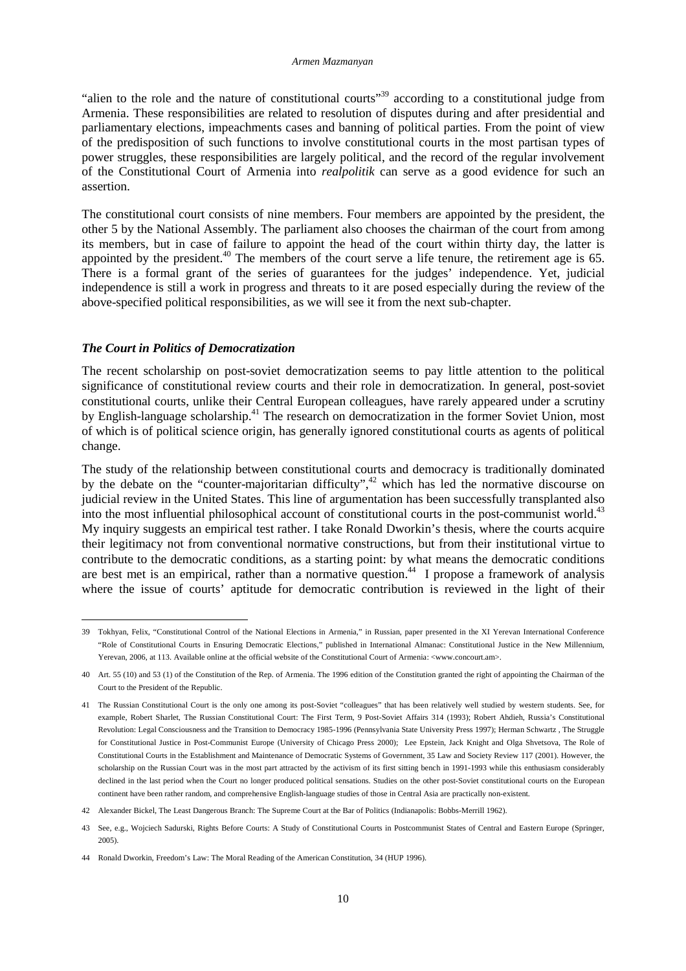"alien to the role and the nature of constitutional courts"<sup>39</sup> according to a constitutional judge from Armenia. These responsibilities are related to resolution of disputes during and after presidential and parliamentary elections, impeachments cases and banning of political parties. From the point of view of the predisposition of such functions to involve constitutional courts in the most partisan types of power struggles, these responsibilities are largely political, and the record of the regular involvement of the Constitutional Court of Armenia into *realpolitik* can serve as a good evidence for such an assertion.

The constitutional court consists of nine members. Four members are appointed by the president, the other 5 by the National Assembly. The parliament also chooses the chairman of the court from among its members, but in case of failure to appoint the head of the court within thirty day, the latter is appointed by the president.<sup>40</sup> The members of the court serve a life tenure, the retirement age is 65. There is a formal grant of the series of guarantees for the judges' independence. Yet, judicial independence is still a work in progress and threats to it are posed especially during the review of the above-specified political responsibilities, as we will see it from the next sub-chapter.

#### *The Court in Politics of Democratization*

l

The recent scholarship on post-soviet democratization seems to pay little attention to the political significance of constitutional review courts and their role in democratization. In general, post-soviet constitutional courts, unlike their Central European colleagues, have rarely appeared under a scrutiny by English-language scholarship.<sup>41</sup> The research on democratization in the former Soviet Union, most of which is of political science origin, has generally ignored constitutional courts as agents of political change.

The study of the relationship between constitutional courts and democracy is traditionally dominated by the debate on the "counter-majoritarian difficulty",<sup>42</sup> which has led the normative discourse on judicial review in the United States. This line of argumentation has been successfully transplanted also into the most influential philosophical account of constitutional courts in the post-communist world.<sup>43</sup> My inquiry suggests an empirical test rather. I take Ronald Dworkin's thesis, where the courts acquire their legitimacy not from conventional normative constructions, but from their institutional virtue to contribute to the democratic conditions, as a starting point: by what means the democratic conditions are best met is an empirical, rather than a normative question.<sup>44</sup> I propose a framework of analysis where the issue of courts' aptitude for democratic contribution is reviewed in the light of their

<sup>39</sup> Tokhyan, Felix, "Constitutional Control of the National Elections in Armenia," in Russian, paper presented in the XI Yerevan International Conference "Role of Constitutional Courts in Ensuring Democratic Elections," published in International Almanac: Constitutional Justice in the New Millennium, Yerevan, 2006, at 113. Available online at the official website of the Constitutional Court of Armenia: <www.concourt.am>.

<sup>40</sup> Art. 55 (10) and 53 (1) of the Constitution of the Rep. of Armenia. The 1996 edition of the Constitution granted the right of appointing the Chairman of the Court to the President of the Republic.

<sup>41</sup> The Russian Constitutional Court is the only one among its post-Soviet "colleagues" that has been relatively well studied by western students. See, for example, Robert Sharlet, The Russian Constitutional Court: The First Term, 9 Post-Soviet Affairs 314 (1993); Robert Ahdieh, Russia's Constitutional Revolution: Legal Consciousness and the Transition to Democracy 1985-1996 (Pennsylvania State University Press 1997); Herman Schwartz , The Struggle for Constitutional Justice in Post-Communist Europe (University of Chicago Press 2000); Lee Epstein, Jack Knight and Olga Shvetsova, The Role of Constitutional Courts in the Establishment and Maintenance of Democratic Systems of Government, 35 Law and Society Review 117 (2001). However, the scholarship on the Russian Court was in the most part attracted by the activism of its first sitting bench in 1991-1993 while this enthusiasm considerably declined in the last period when the Court no longer produced political sensations. Studies on the other post-Soviet constitutional courts on the European continent have been rather random, and comprehensive English-language studies of those in Central Asia are practically non-existent.

<sup>42</sup> Alexander Bickel, The Least Dangerous Branch: The Supreme Court at the Bar of Politics (Indianapolis: Bobbs-Merrill 1962).

<sup>43</sup> See, e.g., Wojciech Sadurski, Rights Before Courts: A Study of Constitutional Courts in Postcommunist States of Central and Eastern Europe (Springer, 2005).

<sup>44</sup> Ronald Dworkin, Freedom's Law: The Moral Reading of the American Constitution, 34 (HUP 1996).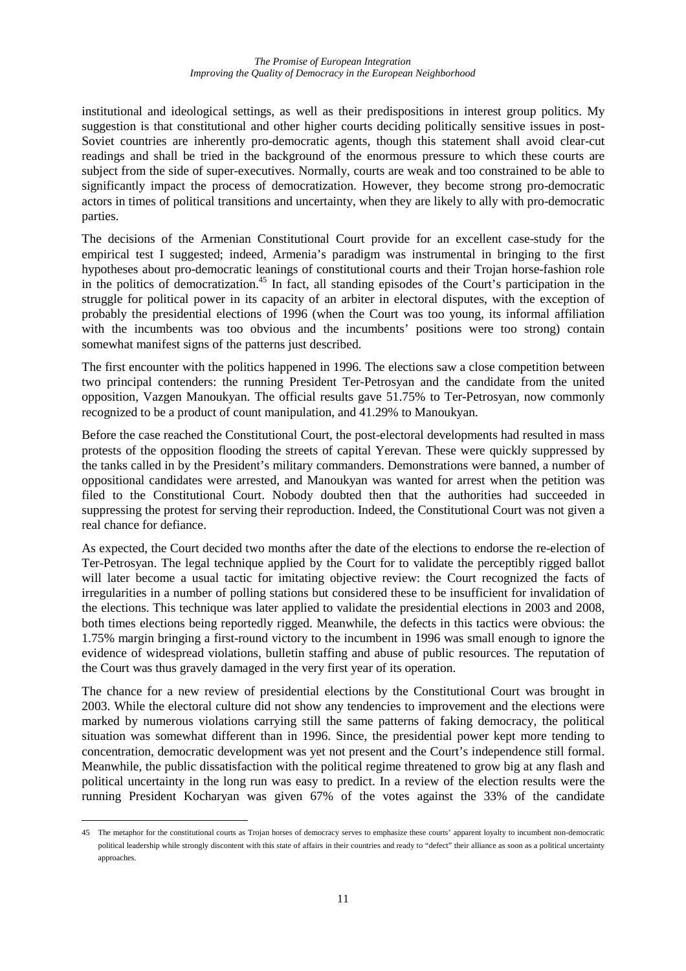institutional and ideological settings, as well as their predispositions in interest group politics. My suggestion is that constitutional and other higher courts deciding politically sensitive issues in post-Soviet countries are inherently pro-democratic agents, though this statement shall avoid clear-cut readings and shall be tried in the background of the enormous pressure to which these courts are subject from the side of super-executives. Normally, courts are weak and too constrained to be able to significantly impact the process of democratization. However, they become strong pro-democratic actors in times of political transitions and uncertainty, when they are likely to ally with pro-democratic parties.

The decisions of the Armenian Constitutional Court provide for an excellent case-study for the empirical test I suggested; indeed, Armenia's paradigm was instrumental in bringing to the first hypotheses about pro-democratic leanings of constitutional courts and their Trojan horse-fashion role in the politics of democratization.<sup>45</sup> In fact, all standing episodes of the Court's participation in the struggle for political power in its capacity of an arbiter in electoral disputes, with the exception of probably the presidential elections of 1996 (when the Court was too young, its informal affiliation with the incumbents was too obvious and the incumbents' positions were too strong) contain somewhat manifest signs of the patterns just described.

The first encounter with the politics happened in 1996. The elections saw a close competition between two principal contenders: the running President Ter-Petrosyan and the candidate from the united opposition, Vazgen Manoukyan. The official results gave 51.75% to Ter-Petrosyan, now commonly recognized to be a product of count manipulation, and 41.29% to Manoukyan.

Before the case reached the Constitutional Court, the post-electoral developments had resulted in mass protests of the opposition flooding the streets of capital Yerevan. These were quickly suppressed by the tanks called in by the President's military commanders. Demonstrations were banned, a number of oppositional candidates were arrested, and Manoukyan was wanted for arrest when the petition was filed to the Constitutional Court. Nobody doubted then that the authorities had succeeded in suppressing the protest for serving their reproduction. Indeed, the Constitutional Court was not given a real chance for defiance.

As expected, the Court decided two months after the date of the elections to endorse the re-election of Ter-Petrosyan. The legal technique applied by the Court for to validate the perceptibly rigged ballot will later become a usual tactic for imitating objective review: the Court recognized the facts of irregularities in a number of polling stations but considered these to be insufficient for invalidation of the elections. This technique was later applied to validate the presidential elections in 2003 and 2008, both times elections being reportedly rigged. Meanwhile, the defects in this tactics were obvious: the 1.75% margin bringing a first-round victory to the incumbent in 1996 was small enough to ignore the evidence of widespread violations, bulletin staffing and abuse of public resources. The reputation of the Court was thus gravely damaged in the very first year of its operation.

The chance for a new review of presidential elections by the Constitutional Court was brought in 2003. While the electoral culture did not show any tendencies to improvement and the elections were marked by numerous violations carrying still the same patterns of faking democracy, the political situation was somewhat different than in 1996. Since, the presidential power kept more tending to concentration, democratic development was yet not present and the Court's independence still formal. Meanwhile, the public dissatisfaction with the political regime threatened to grow big at any flash and political uncertainty in the long run was easy to predict. In a review of the election results were the running President Kocharyan was given 67% of the votes against the 33% of the candidate

<sup>45</sup> The metaphor for the constitutional courts as Trojan horses of democracy serves to emphasize these courts' apparent loyalty to incumbent non-democratic political leadership while strongly discontent with this state of affairs in their countries and ready to "defect" their alliance as soon as a political uncertainty approaches.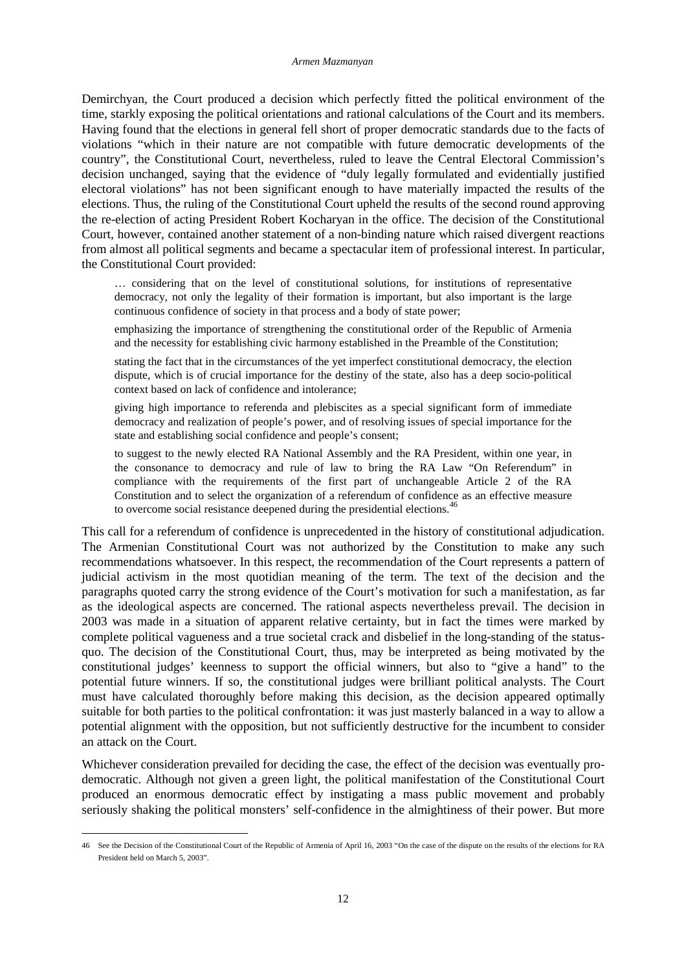Demirchyan, the Court produced a decision which perfectly fitted the political environment of the time, starkly exposing the political orientations and rational calculations of the Court and its members. Having found that the elections in general fell short of proper democratic standards due to the facts of violations "which in their nature are not compatible with future democratic developments of the country", the Constitutional Court, nevertheless, ruled to leave the Central Electoral Commission's decision unchanged, saying that the evidence of "duly legally formulated and evidentially justified electoral violations" has not been significant enough to have materially impacted the results of the elections. Thus, the ruling of the Constitutional Court upheld the results of the second round approving the re-election of acting President Robert Kocharyan in the office. The decision of the Constitutional Court, however, contained another statement of a non-binding nature which raised divergent reactions from almost all political segments and became a spectacular item of professional interest. In particular, the Constitutional Court provided:

… considering that on the level of constitutional solutions, for institutions of representative democracy, not only the legality of their formation is important, but also important is the large continuous confidence of society in that process and a body of state power;

emphasizing the importance of strengthening the constitutional order of the Republic of Armenia and the necessity for establishing civic harmony established in the Preamble of the Constitution;

stating the fact that in the circumstances of the yet imperfect constitutional democracy, the election dispute, which is of crucial importance for the destiny of the state, also has a deep socio-political context based on lack of confidence and intolerance;

giving high importance to referenda and plebiscites as a special significant form of immediate democracy and realization of people's power, and of resolving issues of special importance for the state and establishing social confidence and people's consent;

to suggest to the newly elected RA National Assembly and the RA President, within one year, in the consonance to democracy and rule of law to bring the RA Law "On Referendum" in compliance with the requirements of the first part of unchangeable Article 2 of the RA Constitution and to select the organization of a referendum of confidence as an effective measure to overcome social resistance deepened during the presidential elections.<sup>46</sup>

This call for a referendum of confidence is unprecedented in the history of constitutional adjudication. The Armenian Constitutional Court was not authorized by the Constitution to make any such recommendations whatsoever. In this respect, the recommendation of the Court represents a pattern of judicial activism in the most quotidian meaning of the term. The text of the decision and the paragraphs quoted carry the strong evidence of the Court's motivation for such a manifestation, as far as the ideological aspects are concerned. The rational aspects nevertheless prevail. The decision in 2003 was made in a situation of apparent relative certainty, but in fact the times were marked by complete political vagueness and a true societal crack and disbelief in the long-standing of the statusquo. The decision of the Constitutional Court, thus, may be interpreted as being motivated by the constitutional judges' keenness to support the official winners, but also to "give a hand" to the potential future winners. If so, the constitutional judges were brilliant political analysts. The Court must have calculated thoroughly before making this decision, as the decision appeared optimally suitable for both parties to the political confrontation: it was just masterly balanced in a way to allow a potential alignment with the opposition, but not sufficiently destructive for the incumbent to consider an attack on the Court.

Whichever consideration prevailed for deciding the case, the effect of the decision was eventually prodemocratic. Although not given a green light, the political manifestation of the Constitutional Court produced an enormous democratic effect by instigating a mass public movement and probably seriously shaking the political monsters' self-confidence in the almightiness of their power. But more

<sup>46</sup> See the Decision of the Constitutional Court of the Republic of Armenia of April 16, 2003 "On the case of the dispute on the results of the elections for RA President held on March 5, 2003".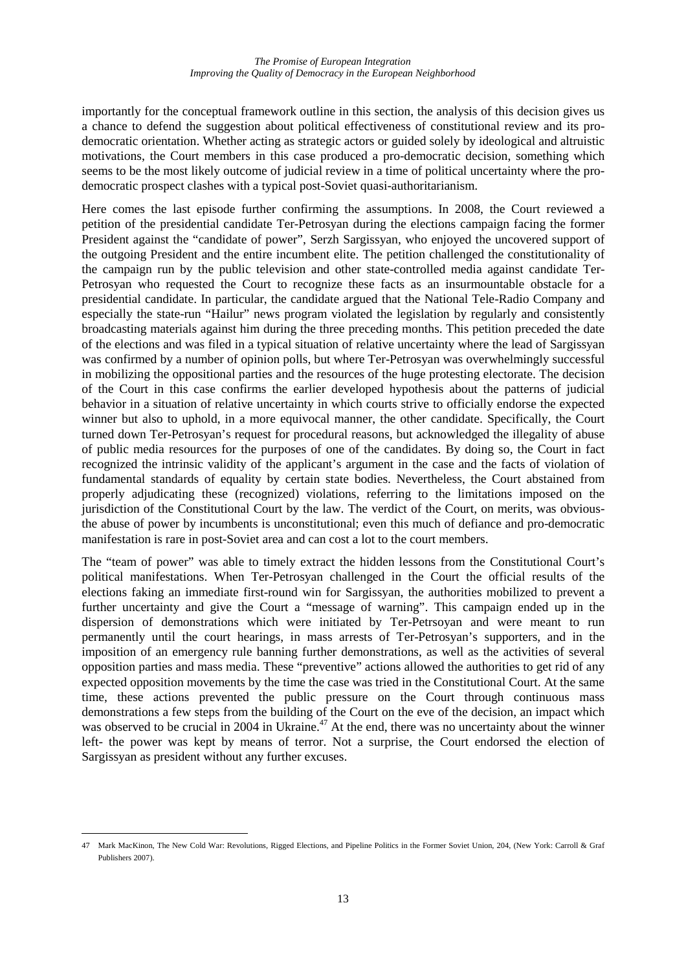importantly for the conceptual framework outline in this section, the analysis of this decision gives us a chance to defend the suggestion about political effectiveness of constitutional review and its prodemocratic orientation. Whether acting as strategic actors or guided solely by ideological and altruistic motivations, the Court members in this case produced a pro-democratic decision, something which seems to be the most likely outcome of judicial review in a time of political uncertainty where the prodemocratic prospect clashes with a typical post-Soviet quasi-authoritarianism.

Here comes the last episode further confirming the assumptions. In 2008, the Court reviewed a petition of the presidential candidate Ter-Petrosyan during the elections campaign facing the former President against the "candidate of power", Serzh Sargissyan, who enjoyed the uncovered support of the outgoing President and the entire incumbent elite. The petition challenged the constitutionality of the campaign run by the public television and other state-controlled media against candidate Ter-Petrosyan who requested the Court to recognize these facts as an insurmountable obstacle for a presidential candidate. In particular, the candidate argued that the National Tele-Radio Company and especially the state-run "Hailur" news program violated the legislation by regularly and consistently broadcasting materials against him during the three preceding months. This petition preceded the date of the elections and was filed in a typical situation of relative uncertainty where the lead of Sargissyan was confirmed by a number of opinion polls, but where Ter-Petrosyan was overwhelmingly successful in mobilizing the oppositional parties and the resources of the huge protesting electorate. The decision of the Court in this case confirms the earlier developed hypothesis about the patterns of judicial behavior in a situation of relative uncertainty in which courts strive to officially endorse the expected winner but also to uphold, in a more equivocal manner, the other candidate. Specifically, the Court turned down Ter-Petrosyan's request for procedural reasons, but acknowledged the illegality of abuse of public media resources for the purposes of one of the candidates. By doing so, the Court in fact recognized the intrinsic validity of the applicant's argument in the case and the facts of violation of fundamental standards of equality by certain state bodies. Nevertheless, the Court abstained from properly adjudicating these (recognized) violations, referring to the limitations imposed on the jurisdiction of the Constitutional Court by the law. The verdict of the Court, on merits, was obviousthe abuse of power by incumbents is unconstitutional; even this much of defiance and pro-democratic manifestation is rare in post-Soviet area and can cost a lot to the court members.

The "team of power" was able to timely extract the hidden lessons from the Constitutional Court's political manifestations. When Ter-Petrosyan challenged in the Court the official results of the elections faking an immediate first-round win for Sargissyan, the authorities mobilized to prevent a further uncertainty and give the Court a "message of warning". This campaign ended up in the dispersion of demonstrations which were initiated by Ter-Petrsoyan and were meant to run permanently until the court hearings, in mass arrests of Ter-Petrosyan's supporters, and in the imposition of an emergency rule banning further demonstrations, as well as the activities of several opposition parties and mass media. These "preventive" actions allowed the authorities to get rid of any expected opposition movements by the time the case was tried in the Constitutional Court. At the same time, these actions prevented the public pressure on the Court through continuous mass demonstrations a few steps from the building of the Court on the eve of the decision, an impact which was observed to be crucial in 2004 in Ukraine.<sup>47</sup> At the end, there was no uncertainty about the winner left- the power was kept by means of terror. Not a surprise, the Court endorsed the election of Sargissyan as president without any further excuses.

<sup>47</sup> Mark MacKinon, The New Cold War: Revolutions, Rigged Elections, and Pipeline Politics in the Former Soviet Union, 204, (New York: Carroll & Graf Publishers 2007).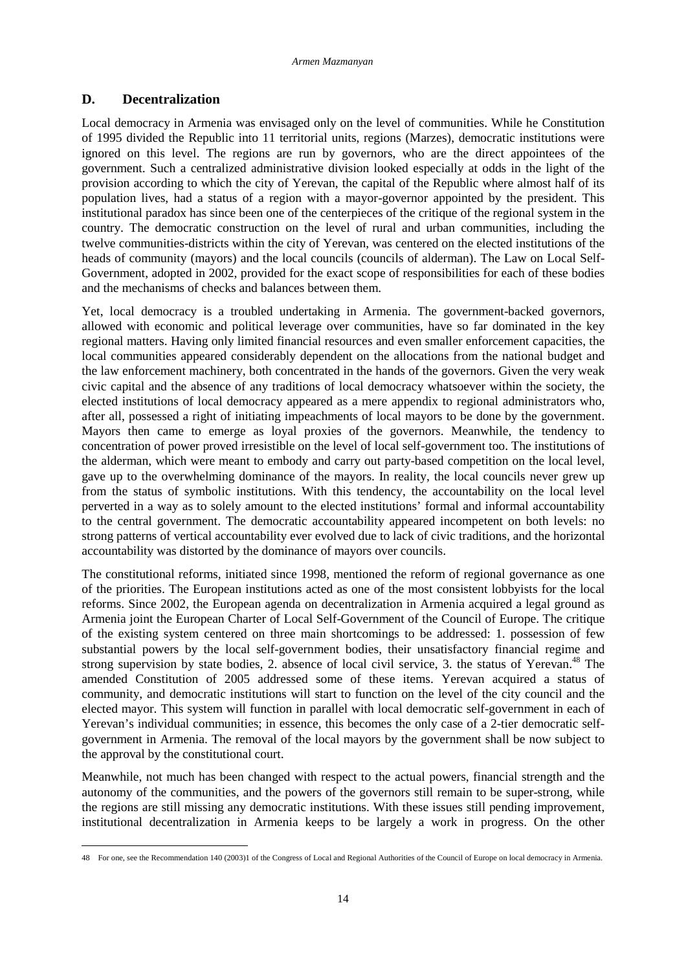# **D. Decentralization**

 $\overline{a}$ 

Local democracy in Armenia was envisaged only on the level of communities. While he Constitution of 1995 divided the Republic into 11 territorial units, regions (Marzes), democratic institutions were ignored on this level. The regions are run by governors, who are the direct appointees of the government. Such a centralized administrative division looked especially at odds in the light of the provision according to which the city of Yerevan, the capital of the Republic where almost half of its population lives, had a status of a region with a mayor-governor appointed by the president. This institutional paradox has since been one of the centerpieces of the critique of the regional system in the country. The democratic construction on the level of rural and urban communities, including the twelve communities-districts within the city of Yerevan, was centered on the elected institutions of the heads of community (mayors) and the local councils (councils of alderman). The Law on Local Self-Government, adopted in 2002, provided for the exact scope of responsibilities for each of these bodies and the mechanisms of checks and balances between them.

Yet, local democracy is a troubled undertaking in Armenia. The government-backed governors, allowed with economic and political leverage over communities, have so far dominated in the key regional matters. Having only limited financial resources and even smaller enforcement capacities, the local communities appeared considerably dependent on the allocations from the national budget and the law enforcement machinery, both concentrated in the hands of the governors. Given the very weak civic capital and the absence of any traditions of local democracy whatsoever within the society, the elected institutions of local democracy appeared as a mere appendix to regional administrators who, after all, possessed a right of initiating impeachments of local mayors to be done by the government. Mayors then came to emerge as loyal proxies of the governors. Meanwhile, the tendency to concentration of power proved irresistible on the level of local self-government too. The institutions of the alderman, which were meant to embody and carry out party-based competition on the local level, gave up to the overwhelming dominance of the mayors. In reality, the local councils never grew up from the status of symbolic institutions. With this tendency, the accountability on the local level perverted in a way as to solely amount to the elected institutions' formal and informal accountability to the central government. The democratic accountability appeared incompetent on both levels: no strong patterns of vertical accountability ever evolved due to lack of civic traditions, and the horizontal accountability was distorted by the dominance of mayors over councils.

The constitutional reforms, initiated since 1998, mentioned the reform of regional governance as one of the priorities. The European institutions acted as one of the most consistent lobbyists for the local reforms. Since 2002, the European agenda on decentralization in Armenia acquired a legal ground as Armenia joint the European Charter of Local Self-Government of the Council of Europe. The critique of the existing system centered on three main shortcomings to be addressed: 1. possession of few substantial powers by the local self-government bodies, their unsatisfactory financial regime and strong supervision by state bodies, 2. absence of local civil service, 3. the status of Yerevan.<sup>48</sup> The amended Constitution of 2005 addressed some of these items. Yerevan acquired a status of community, and democratic institutions will start to function on the level of the city council and the elected mayor. This system will function in parallel with local democratic self-government in each of Yerevan's individual communities; in essence, this becomes the only case of a 2-tier democratic selfgovernment in Armenia. The removal of the local mayors by the government shall be now subject to the approval by the constitutional court.

Meanwhile, not much has been changed with respect to the actual powers, financial strength and the autonomy of the communities, and the powers of the governors still remain to be super-strong, while the regions are still missing any democratic institutions. With these issues still pending improvement, institutional decentralization in Armenia keeps to be largely a work in progress. On the other

<sup>48</sup> For one, see the Recommendation 140 (2003)1 of the Congress of Local and Regional Authorities of the Council of Europe on local democracy in Armenia.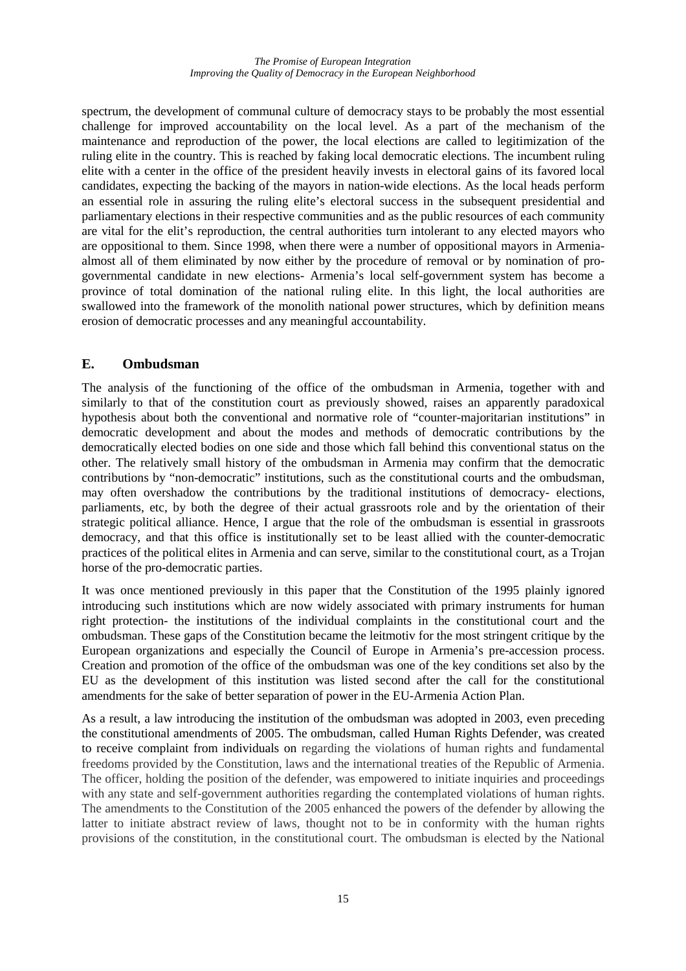spectrum, the development of communal culture of democracy stays to be probably the most essential challenge for improved accountability on the local level. As a part of the mechanism of the maintenance and reproduction of the power, the local elections are called to legitimization of the ruling elite in the country. This is reached by faking local democratic elections. The incumbent ruling elite with a center in the office of the president heavily invests in electoral gains of its favored local candidates, expecting the backing of the mayors in nation-wide elections. As the local heads perform an essential role in assuring the ruling elite's electoral success in the subsequent presidential and parliamentary elections in their respective communities and as the public resources of each community are vital for the elit's reproduction, the central authorities turn intolerant to any elected mayors who are oppositional to them. Since 1998, when there were a number of oppositional mayors in Armeniaalmost all of them eliminated by now either by the procedure of removal or by nomination of progovernmental candidate in new elections- Armenia's local self-government system has become a province of total domination of the national ruling elite. In this light, the local authorities are swallowed into the framework of the monolith national power structures, which by definition means erosion of democratic processes and any meaningful accountability.

## **E. Ombudsman**

The analysis of the functioning of the office of the ombudsman in Armenia, together with and similarly to that of the constitution court as previously showed, raises an apparently paradoxical hypothesis about both the conventional and normative role of "counter-majoritarian institutions" in democratic development and about the modes and methods of democratic contributions by the democratically elected bodies on one side and those which fall behind this conventional status on the other. The relatively small history of the ombudsman in Armenia may confirm that the democratic contributions by "non-democratic" institutions, such as the constitutional courts and the ombudsman, may often overshadow the contributions by the traditional institutions of democracy- elections, parliaments, etc, by both the degree of their actual grassroots role and by the orientation of their strategic political alliance. Hence, I argue that the role of the ombudsman is essential in grassroots democracy, and that this office is institutionally set to be least allied with the counter-democratic practices of the political elites in Armenia and can serve, similar to the constitutional court, as a Trojan horse of the pro-democratic parties.

It was once mentioned previously in this paper that the Constitution of the 1995 plainly ignored introducing such institutions which are now widely associated with primary instruments for human right protection- the institutions of the individual complaints in the constitutional court and the ombudsman. These gaps of the Constitution became the leitmotiv for the most stringent critique by the European organizations and especially the Council of Europe in Armenia's pre-accession process. Creation and promotion of the office of the ombudsman was one of the key conditions set also by the EU as the development of this institution was listed second after the call for the constitutional amendments for the sake of better separation of power in the EU-Armenia Action Plan.

As a result, a law introducing the institution of the ombudsman was adopted in 2003, even preceding the constitutional amendments of 2005. The ombudsman, called Human Rights Defender, was created to receive complaint from individuals on regarding the violations of human rights and fundamental freedoms provided by the Constitution, laws and the international treaties of the Republic of Armenia. The officer, holding the position of the defender, was empowered to initiate inquiries and proceedings with any state and self-government authorities regarding the contemplated violations of human rights. The amendments to the Constitution of the 2005 enhanced the powers of the defender by allowing the latter to initiate abstract review of laws, thought not to be in conformity with the human rights provisions of the constitution, in the constitutional court. The ombudsman is elected by the National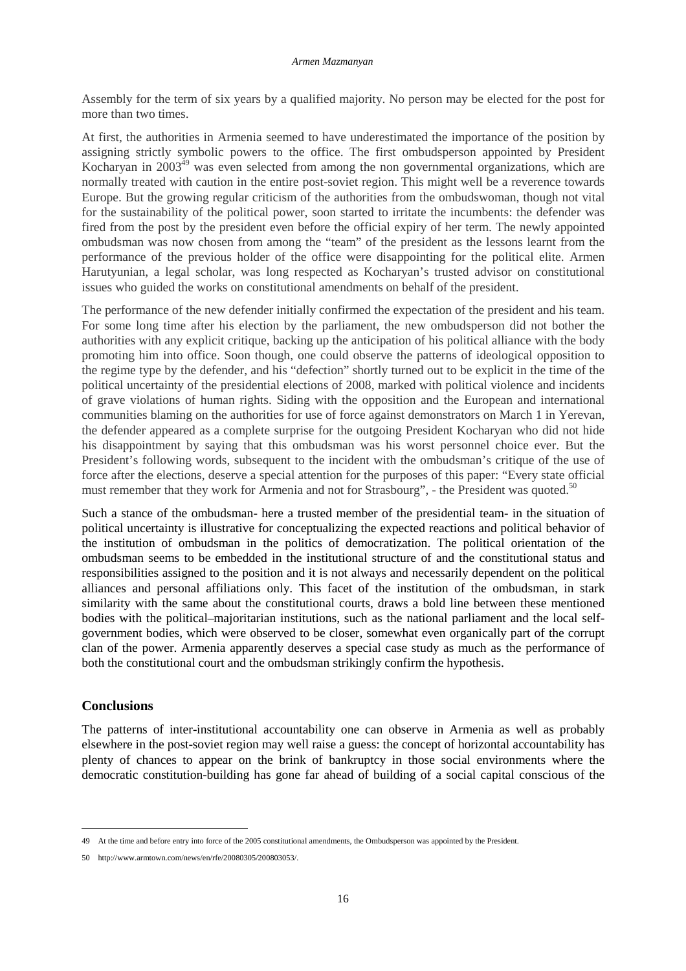Assembly for the term of six years by a qualified majority. No person may be elected for the post for more than two times.

At first, the authorities in Armenia seemed to have underestimated the importance of the position by assigning strictly symbolic powers to the office. The first ombudsperson appointed by President Kocharyan in  $2003^{49}$  was even selected from among the non governmental organizations, which are normally treated with caution in the entire post-soviet region. This might well be a reverence towards Europe. But the growing regular criticism of the authorities from the ombudswoman, though not vital for the sustainability of the political power, soon started to irritate the incumbents: the defender was fired from the post by the president even before the official expiry of her term. The newly appointed ombudsman was now chosen from among the "team" of the president as the lessons learnt from the performance of the previous holder of the office were disappointing for the political elite. Armen Harutyunian, a legal scholar, was long respected as Kocharyan's trusted advisor on constitutional issues who guided the works on constitutional amendments on behalf of the president.

The performance of the new defender initially confirmed the expectation of the president and his team. For some long time after his election by the parliament, the new ombudsperson did not bother the authorities with any explicit critique, backing up the anticipation of his political alliance with the body promoting him into office. Soon though, one could observe the patterns of ideological opposition to the regime type by the defender, and his "defection" shortly turned out to be explicit in the time of the political uncertainty of the presidential elections of 2008, marked with political violence and incidents of grave violations of human rights. Siding with the opposition and the European and international communities blaming on the authorities for use of force against demonstrators on March 1 in Yerevan, the defender appeared as a complete surprise for the outgoing President Kocharyan who did not hide his disappointment by saying that this ombudsman was his worst personnel choice ever. But the President's following words, subsequent to the incident with the ombudsman's critique of the use of force after the elections, deserve a special attention for the purposes of this paper: "Every state official must remember that they work for Armenia and not for Strasbourg", - the President was quoted.<sup>50</sup>

Such a stance of the ombudsman- here a trusted member of the presidential team- in the situation of political uncertainty is illustrative for conceptualizing the expected reactions and political behavior of the institution of ombudsman in the politics of democratization. The political orientation of the ombudsman seems to be embedded in the institutional structure of and the constitutional status and responsibilities assigned to the position and it is not always and necessarily dependent on the political alliances and personal affiliations only. This facet of the institution of the ombudsman, in stark similarity with the same about the constitutional courts, draws a bold line between these mentioned bodies with the political–majoritarian institutions, such as the national parliament and the local selfgovernment bodies, which were observed to be closer, somewhat even organically part of the corrupt clan of the power. Armenia apparently deserves a special case study as much as the performance of both the constitutional court and the ombudsman strikingly confirm the hypothesis.

### **Conclusions**

 $\overline{a}$ 

The patterns of inter-institutional accountability one can observe in Armenia as well as probably elsewhere in the post-soviet region may well raise a guess: the concept of horizontal accountability has plenty of chances to appear on the brink of bankruptcy in those social environments where the democratic constitution-building has gone far ahead of building of a social capital conscious of the

<sup>49</sup> At the time and before entry into force of the 2005 constitutional amendments, the Ombudsperson was appointed by the President.

<sup>50</sup> http://www.armtown.com/news/en/rfe/20080305/200803053/.